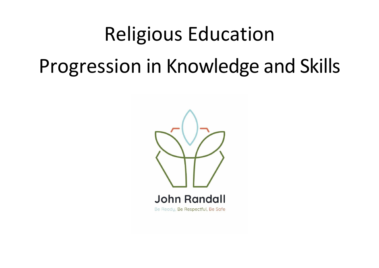## Religious Education Progression in Knowledge and Skills

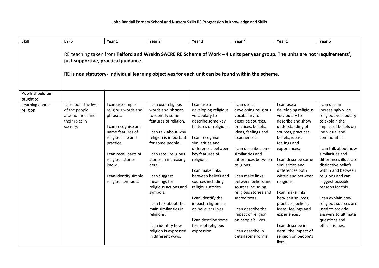## John Randall Primary School and Nursery Skills RE Progression in Knowledge and Skills

| Skill                          | <b>EYFS</b>                                                                                                                                                                                                                                                                | Year 1                                                                                                                                                                                                                                    | Year <sub>2</sub>                                                                                                                                                                                                                                                                                                                                                                                                                 | Year 3                                                                                                                                                                                                                                                                                                                                                                                                                   | Year 4                                                                                                                                                                                                                                                                                                                                                                                                                                        | Year 5                                                                                                                                                                                                                                                                                                                                                                                                                                                          | Year 6                                                                                                                                                                                                                                                                                                                                                                                                                                             |  |  |  |  |
|--------------------------------|----------------------------------------------------------------------------------------------------------------------------------------------------------------------------------------------------------------------------------------------------------------------------|-------------------------------------------------------------------------------------------------------------------------------------------------------------------------------------------------------------------------------------------|-----------------------------------------------------------------------------------------------------------------------------------------------------------------------------------------------------------------------------------------------------------------------------------------------------------------------------------------------------------------------------------------------------------------------------------|--------------------------------------------------------------------------------------------------------------------------------------------------------------------------------------------------------------------------------------------------------------------------------------------------------------------------------------------------------------------------------------------------------------------------|-----------------------------------------------------------------------------------------------------------------------------------------------------------------------------------------------------------------------------------------------------------------------------------------------------------------------------------------------------------------------------------------------------------------------------------------------|-----------------------------------------------------------------------------------------------------------------------------------------------------------------------------------------------------------------------------------------------------------------------------------------------------------------------------------------------------------------------------------------------------------------------------------------------------------------|----------------------------------------------------------------------------------------------------------------------------------------------------------------------------------------------------------------------------------------------------------------------------------------------------------------------------------------------------------------------------------------------------------------------------------------------------|--|--|--|--|
|                                | RE teaching taken from Telford and Wrekin SACRE RE Scheme of Work - 4 units per year group. The units are not 'requirements',<br>just supportive, practical guidance.<br>RE is non statutory- Individual learning objectives for each unit can be found within the scheme. |                                                                                                                                                                                                                                           |                                                                                                                                                                                                                                                                                                                                                                                                                                   |                                                                                                                                                                                                                                                                                                                                                                                                                          |                                                                                                                                                                                                                                                                                                                                                                                                                                               |                                                                                                                                                                                                                                                                                                                                                                                                                                                                 |                                                                                                                                                                                                                                                                                                                                                                                                                                                    |  |  |  |  |
| Pupils should be<br>taught to: |                                                                                                                                                                                                                                                                            |                                                                                                                                                                                                                                           |                                                                                                                                                                                                                                                                                                                                                                                                                                   |                                                                                                                                                                                                                                                                                                                                                                                                                          |                                                                                                                                                                                                                                                                                                                                                                                                                                               |                                                                                                                                                                                                                                                                                                                                                                                                                                                                 |                                                                                                                                                                                                                                                                                                                                                                                                                                                    |  |  |  |  |
| Learning about<br>religion.    | Talk about the lives<br>of the people<br>around them and<br>their roles in<br>society;                                                                                                                                                                                     | I can use simple<br>religious words and<br>phrases.<br>I can recognise and<br>name features of<br>religious life and<br>practice.<br>I can recall parts of<br>religious stories I<br>know.<br>I can identify simple<br>religious symbols. | I can use religious<br>words and phrases<br>to identify some<br>features of religion.<br>I can talk about why<br>religion is important<br>for some people.<br>I can retell religious<br>stories in increasing<br>detail.<br>I can suggest<br>meanings for<br>religious actions and<br>symbols.<br>I can talk about the<br>main similarities in<br>religions.<br>I can identify how<br>religion is expressed<br>in different ways. | I can use a<br>developing religious<br>vocabulary to<br>describe some key<br>features of religions.<br>I can recognise<br>similarities and<br>differences between<br>key features of<br>religions.<br>I can make links<br>between beliefs and<br>sources including<br>religious stories.<br>I can identify the<br>impact religion has<br>on believers lives.<br>I can describe some<br>forms of religious<br>expression. | I can use a<br>developing religious<br>vocabulary to<br>describe sources,<br>practices, beliefs,<br>ideas, feelings and<br>experiences.<br>I can describe some<br>similarities and<br>differences between<br>religions.<br>I can make links<br>between beliefs and<br>sources including<br>religious stories and<br>sacred texts.<br>I can describe the<br>impact of religion<br>on people's lives.<br>I can describe in<br>detail some forms | I can use a<br>developing religious<br>vocabulary to<br>describe and show<br>understanding of<br>sources, practices,<br>beliefs, ideas,<br>feelings and<br>experiences.<br>I can describe some<br>similarities and<br>differences both<br>within and between<br>religions.<br>I can make links<br>between sources,<br>practices, beliefs,<br>ideas, feelings and<br>experiences.<br>I can describe in<br>detail the impact of<br>religion on people's<br>lives. | I can use an<br>increasingly wide<br>religious vocabulary<br>to explain the<br>impact of beliefs on<br>individual and<br>communities.<br>I can talk about how<br>similarities and<br>differences illustrate<br>distinctive beliefs<br>within and between<br>religions and can<br>suggest possible<br>reasons for this.<br>I can explain how<br>religious sources are<br>used to provide<br>answers to ultimate<br>questions and<br>ethical issues. |  |  |  |  |